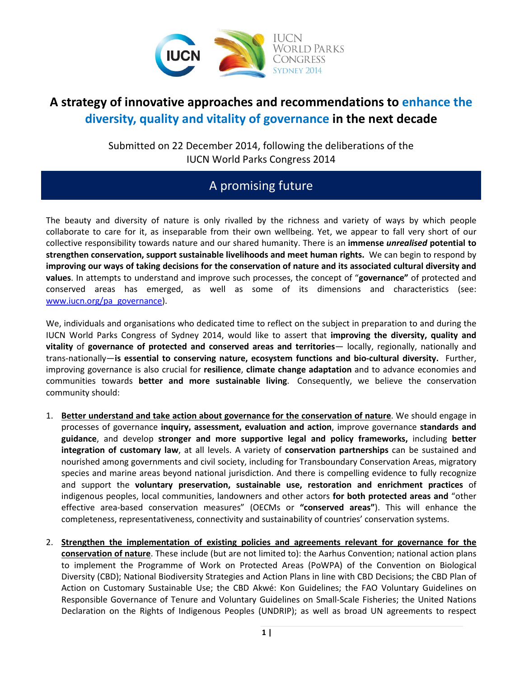

## **A strategy of innovative approaches and recommendations to enhance the diversity, quality and vitality of governance in the next decade**

Submitted on 22 December 2014, following the deliberations of the IUCN World Parks Congress 2014

# A promising future

The beauty and diversity of nature is only rivalled by the richness and variety of ways by which people collaborate to care for it, as inseparable from their own wellbeing. Yet, we appear to fall very short of our collective responsibility towards nature and our shared humanity. There is an **immense** *unrealised* **potential to strengthen conservation, support sustainable livelihoods and meet human rights.** We can begin to respond by **improving our ways of taking decisions for the conservation of nature and its associated cultural diversity and values**. In attempts to understand and improve such processes, the concept of "**governance"** of protected and conserved areas has emerged, as well as some of its dimensions and characteristics (see: [www.iucn.org/pa\\_governance\)](http://www.iucn.org/pa_governance).

We, individuals and organisations who dedicated time to reflect on the subject in preparation to and during the IUCN World Parks Congress of Sydney 2014, would like to assert that **improving the diversity, quality and vitality** of **governance of protected and conserved areas and territories**— locally, regionally, nationally and trans-nationally—**is essential to conserving nature, ecosystem functions and bio-cultural diversity.** Further, improving governance is also crucial for **resilience**, **climate change adaptation** and to advance economies and communities towards **better and more sustainable living**. Consequently, we believe the conservation community should:

- 1. **Better understand and take action about governance for the conservation of nature**. We should engage in processes of governance **inquiry, assessment, evaluation and action**, improve governance **standards and guidance**, and develop **stronger and more supportive legal and policy frameworks,** including **better integration of customary law**, at all levels. A variety of **conservation partnerships** can be sustained and nourished among governments and civil society, including for Transboundary Conservation Areas, migratory species and marine areas beyond national jurisdiction. And there is compelling evidence to fully recognize and support the **voluntary preservation, sustainable use, restoration and enrichment practices** of indigenous peoples, local communities, landowners and other actors **for both protected areas and** "other effective area-based conservation measures" (OECMs or **"conserved areas"**). This will enhance the completeness, representativeness, connectivity and sustainability of countries' conservation systems.
- 2. **Strengthen the implementation of existing policies and agreements relevant for governance for the conservation of nature**. These include (but are not limited to): the Aarhus Convention; national action plans to implement the Programme of Work on Protected Areas (PoWPA) of the Convention on Biological Diversity (CBD); National Biodiversity Strategies and Action Plans in line with CBD Decisions; the CBD Plan of Action on Customary Sustainable Use; the CBD Akwé: Kon Guidelines; the FAO Voluntary Guidelines on Responsible Governance of Tenure and Voluntary Guidelines on Small-Scale Fisheries; the United Nations Declaration on the Rights of Indigenous Peoples (UNDRIP); as well as broad UN agreements to respect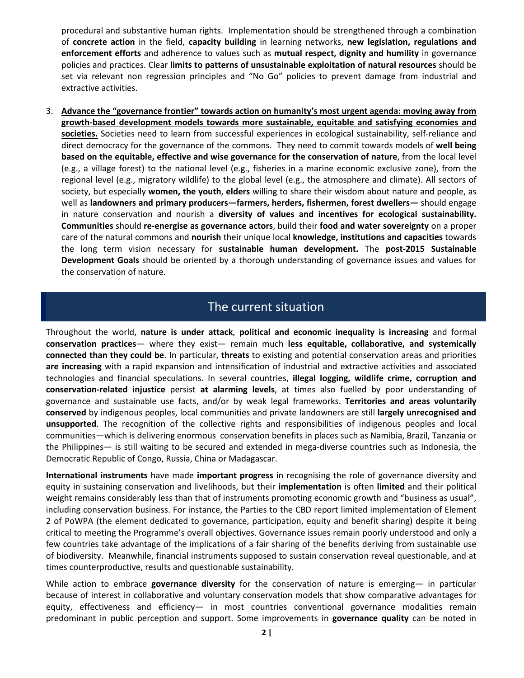procedural and substantive human rights. Implementation should be strengthened through a combination of **concrete action** in the field, **capacity building** in learning networks, **new legislation, regulations and enforcement efforts** and adherence to values such as **mutual respect, dignity and humility** in governance policies and practices. Clear **limits to patterns of unsustainable exploitation of natural resources** should be set via relevant non regression principles and "No Go" policies to prevent damage from industrial and extractive activities.

3. **Advance the "governance frontier" towards action on humanity's most urgent agenda: moving away from growth-based development models towards more sustainable, equitable and satisfying economies and societies.** Societies need to learn from successful experiences in ecological sustainability, self-reliance and direct democracy for the governance of the commons. They need to commit towards models of **well being based on the equitable, effective and wise governance for the conservation of nature**, from the local level (e.g., a village forest) to the national level (e.g., fisheries in a marine economic exclusive zone), from the regional level (e.g., migratory wildlife) to the global level (e.g., the atmosphere and climate). All sectors of society, but especially **women, the youth**, **elders** willing to share their wisdom about nature and people, as well as **landowners and primary producers—farmers, herders, fishermen, forest dwellers—** should engage in nature conservation and nourish a **diversity of values and incentives for ecological sustainability. Communities** should **re-energise as governance actors**, build their **food and water sovereignty** on a proper care of the natural commons and **nourish** their unique local **knowledge, institutions and capacities** towards the long term vision necessary for **sustainable human development.** The **post-2015 Sustainable Development Goals** should be oriented by a thorough understanding of governance issues and values for the conservation of nature.

#### The current situation

Throughout the world, **nature is under attack**, **political and economic inequality is increasing** and formal **conservation practices**— where they exist— remain much **less equitable, collaborative, and systemically connected than they could be**. In particular, **threats** to existing and potential conservation areas and priorities **are increasing** with a rapid expansion and intensification of industrial and extractive activities and associated technologies and financial speculations. In several countries, **illegal logging, wildlife crime, corruption and conservation-related injustice** persist **at alarming levels**, at times also fuelled by poor understanding of governance and sustainable use facts, and/or by weak legal frameworks. **Territories and areas voluntarily conserved** by indigenous peoples, local communities and private landowners are still **largely unrecognised and unsupported**. The recognition of the collective rights and responsibilities of indigenous peoples and local communities—which is delivering enormous conservation benefits in places such as Namibia, Brazil, Tanzania or the Philippines— is still waiting to be secured and extended in mega-diverse countries such as Indonesia, the Democratic Republic of Congo, Russia, China or Madagascar.

**International instruments** have made **important progress** in recognising the role of governance diversity and equity in sustaining conservation and livelihoods, but their **implementation** is often **limited** and their political weight remains considerably less than that of instruments promoting economic growth and "business as usual", including conservation business. For instance, the Parties to the CBD report limited implementation of Element 2 of PoWPA (the element dedicated to governance, participation, equity and benefit sharing) despite it being critical to meeting the Programme's overall objectives. Governance issues remain poorly understood and only a few countries take advantage of the implications of a fair sharing of the benefits deriving from sustainable use of biodiversity. Meanwhile, financial instruments supposed to sustain conservation reveal questionable, and at times counterproductive, results and questionable sustainability.

While action to embrace **governance diversity** for the conservation of nature is emerging— in particular because of interest in collaborative and voluntary conservation models that show comparative advantages for equity, effectiveness and efficiency- in most countries conventional governance modalities remain predominant in public perception and support. Some improvements in **governance quality** can be noted in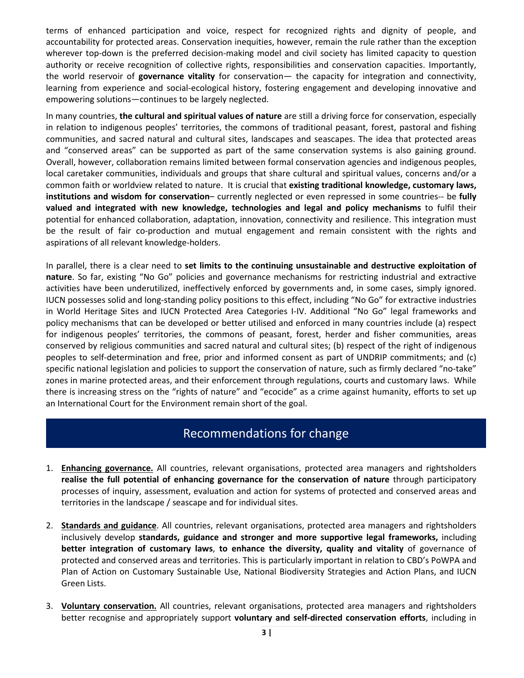terms of enhanced participation and voice, respect for recognized rights and dignity of people, and accountability for protected areas. Conservation inequities, however, remain the rule rather than the exception wherever top-down is the preferred decision-making model and civil society has limited capacity to question authority or receive recognition of collective rights, responsibilities and conservation capacities. Importantly, the world reservoir of **governance vitality** for conservation— the capacity for integration and connectivity, learning from experience and social-ecological history, fostering engagement and developing innovative and empowering solutions—continues to be largely neglected.

In many countries, **the cultural and spiritual values of nature** are still a driving force for conservation, especially in relation to indigenous peoples' territories, the commons of traditional peasant, forest, pastoral and fishing communities, and sacred natural and cultural sites, landscapes and seascapes. The idea that protected areas and "conserved areas" can be supported as part of the same conservation systems is also gaining ground. Overall, however, collaboration remains limited between formal conservation agencies and indigenous peoples, local caretaker communities, individuals and groups that share cultural and spiritual values, concerns and/or a common faith or worldview related to nature. It is crucial that **existing traditional knowledge, customary laws, institutions and wisdom for conservation**– currently neglected or even repressed in some countries-- be **fully valued and integrated with new knowledge, technologies and legal and policy mechanisms** to fulfil their potential for enhanced collaboration, adaptation, innovation, connectivity and resilience. This integration must be the result of fair co-production and mutual engagement and remain consistent with the rights and aspirations of all relevant knowledge-holders.

In parallel, there is a clear need to **set limits to the continuing unsustainable and destructive exploitation of nature**. So far, existing "No Go" policies and governance mechanisms for restricting industrial and extractive activities have been underutilized, ineffectively enforced by governments and, in some cases, simply ignored. IUCN possesses solid and long-standing policy positions to this effect, including "No Go" for extractive industries in World Heritage Sites and IUCN Protected Area Categories I-IV. Additional "No Go" legal frameworks and policy mechanisms that can be developed or better utilised and enforced in many countries include (a) respect for indigenous peoples' territories, the commons of peasant, forest, herder and fisher communities, areas conserved by religious communities and sacred natural and cultural sites; (b) respect of the right of indigenous peoples to self-determination and free, prior and informed consent as part of UNDRIP commitments; and (c) specific national legislation and policies to support the conservation of nature, such as firmly declared "no-take" zones in marine protected areas, and their enforcement through regulations, courts and customary laws. While there is increasing stress on the "rights of nature" and "ecocide" as a crime against humanity, efforts to set up an International Court for the Environment remain short of the goal.

### Recommendations for change

- 1. **Enhancing governance.** All countries, relevant organisations, protected area managers and rightsholders **realise the full potential of enhancing governance for the conservation of nature** through participatory processes of inquiry, assessment, evaluation and action for systems of protected and conserved areas and territories in the landscape / seascape and for individual sites.
- 2. **Standards and guidance**. All countries, relevant organisations, protected area managers and rightsholders inclusively develop **standards, guidance and stronger and more supportive legal frameworks,** including **better integration of customary laws**, **to enhance the diversity, quality and vitality** of governance of protected and conserved areas and territories. This is particularly important in relation to CBD's PoWPA and Plan of Action on Customary Sustainable Use, National Biodiversity Strategies and Action Plans, and IUCN Green Lists.
- 3. **Voluntary conservation.** All countries, relevant organisations, protected area managers and rightsholders better recognise and appropriately support **voluntary and self-directed conservation efforts**, including in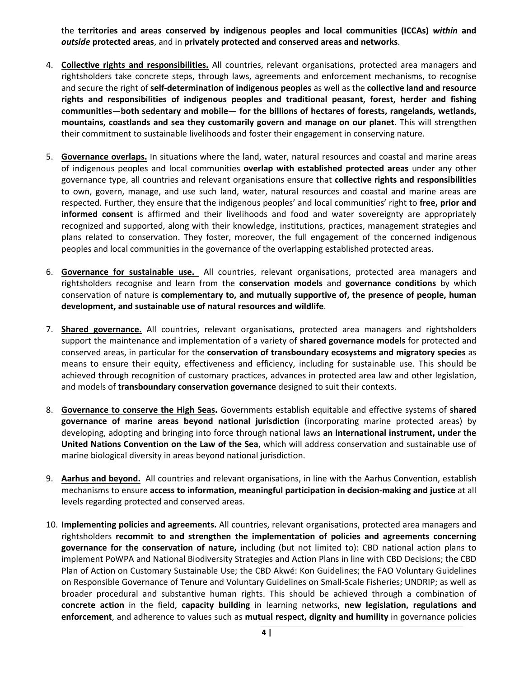the **territories and areas conserved by indigenous peoples and local communities (ICCAs)** *within* **and**  *outside* **protected areas**, and in **privately protected and conserved areas and networks**.

- 4. **Collective rights and responsibilities.** All countries, relevant organisations, protected area managers and rightsholders take concrete steps, through laws, agreements and enforcement mechanisms, to recognise and secure the right of **self-determination of indigenous peoples** as well as the **collective land and resource rights and responsibilities of indigenous peoples and traditional peasant, forest, herder and fishing communities—both sedentary and mobile— for the billions of hectares of forests, rangelands, wetlands, mountains, coastlands and sea they customarily govern and manage on our planet**. This will strengthen their commitment to sustainable livelihoods and foster their engagement in conserving nature.
- 5. **Governance overlaps.** In situations where the land, water, natural resources and coastal and marine areas of indigenous peoples and local communities **overlap with established protected areas** under any other governance type, all countries and relevant organisations ensure that **collective rights and responsibilities** to own, govern, manage, and use such land, water, natural resources and coastal and marine areas are respected. Further, they ensure that the indigenous peoples' and local communities' right to **free, prior and informed consent** is affirmed and their livelihoods and food and water sovereignty are appropriately recognized and supported, along with their knowledge, institutions, practices, management strategies and plans related to conservation. They foster, moreover, the full engagement of the concerned indigenous peoples and local communities in the governance of the overlapping established protected areas.
- 6. **Governance for sustainable use.** All countries, relevant organisations, protected area managers and rightsholders recognise and learn from the **conservation models** and **governance conditions** by which conservation of nature is **complementary to, and mutually supportive of, the presence of people, human development, and sustainable use of natural resources and wildlife**.
- 7. **Shared governance.** All countries, relevant organisations, protected area managers and rightsholders support the maintenance and implementation of a variety of **shared governance models** for protected and conserved areas, in particular for the **conservation of transboundary ecosystems and migratory species** as means to ensure their equity, effectiveness and efficiency, including for sustainable use. This should be achieved through recognition of customary practices, advances in protected area law and other legislation, and models of **transboundary conservation governance** designed to suit their contexts.
- 8. **Governance to conserve the High Seas.** Governments establish equitable and effective systems of **shared governance of marine areas beyond national jurisdiction** (incorporating marine protected areas) by developing, adopting and bringing into force through national laws **an international instrument, under the United Nations Convention on the Law of the Sea**, which will address conservation and sustainable use of marine biological diversity in areas beyond national jurisdiction.
- 9. **Aarhus and beyond.** All countries and relevant organisations, in line with the Aarhus Convention, establish mechanisms to ensure **access to information, meaningful participation in decision-making and justice** at all levels regarding protected and conserved areas.
- 10. **Implementing policies and agreements.** All countries, relevant organisations, protected area managers and rightsholders **recommit to and strengthen the implementation of policies and agreements concerning governance for the conservation of nature,** including (but not limited to): CBD national action plans to implement PoWPA and National Biodiversity Strategies and Action Plans in line with CBD Decisions; the CBD Plan of Action on Customary Sustainable Use; the CBD Akwé: Kon Guidelines; the FAO Voluntary Guidelines on Responsible Governance of Tenure and Voluntary Guidelines on Small-Scale Fisheries; UNDRIP; as well as broader procedural and substantive human rights. This should be achieved through a combination of **concrete action** in the field, **capacity building** in learning networks, **new legislation, regulations and enforcement**, and adherence to values such as **mutual respect, dignity and humility** in governance policies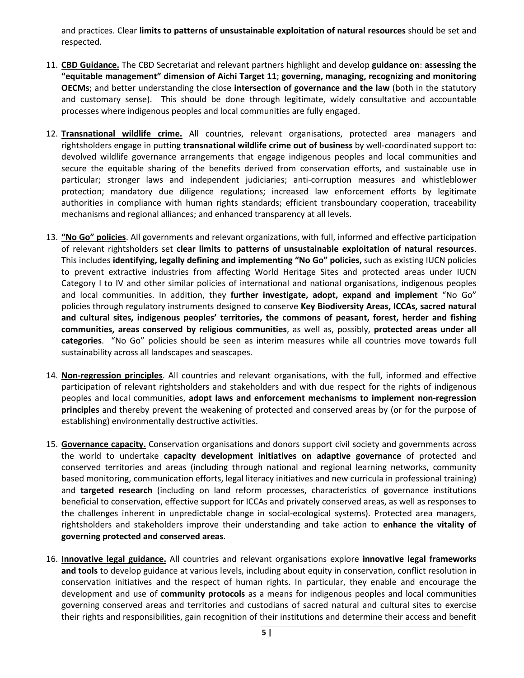and practices. Clear **limits to patterns of unsustainable exploitation of natural resources** should be set and respected.

- 11. **CBD Guidance.** The CBD Secretariat and relevant partners highlight and develop **guidance on**: **assessing the "equitable management" dimension of Aichi Target 11**; **governing, managing, recognizing and monitoring OECMs**; and better understanding the close **intersection of governance and the law** (both in the statutory and customary sense). This should be done through legitimate, widely consultative and accountable processes where indigenous peoples and local communities are fully engaged.
- 12. **Transnational wildlife crime.** All countries, relevant organisations, protected area managers and rightsholders engage in putting **transnational wildlife crime out of business** by well-coordinated support to: devolved wildlife governance arrangements that engage indigenous peoples and local communities and secure the equitable sharing of the benefits derived from conservation efforts, and sustainable use in particular; stronger laws and independent judiciaries; anti-corruption measures and whistleblower protection; mandatory due diligence regulations; increased law enforcement efforts by legitimate authorities in compliance with human rights standards; efficient transboundary cooperation, traceability mechanisms and regional alliances; and enhanced transparency at all levels.
- 13. **"No Go" policies**. All governments and relevant organizations, with full, informed and effective participation of relevant rightsholders set **clear limits to patterns of unsustainable exploitation of natural resources**. This includes **identifying, legally defining and implementing "No Go" policies,** such as existing IUCN policies to prevent extractive industries from affecting World Heritage Sites and protected areas under IUCN Category I to IV and other similar policies of international and national organisations, indigenous peoples and local communities. In addition, they **further investigate, adopt, expand and implement** "No Go" policies through regulatory instruments designed to conserve **Key Biodiversity Areas, ICCAs, sacred natural and cultural sites, indigenous peoples' territories, the commons of peasant, forest, herder and fishing communities, areas conserved by religious communities**, as well as, possibly, **protected areas under all categories**. "No Go" policies should be seen as interim measures while all countries move towards full sustainability across all landscapes and seascapes.
- 14. **Non-regression principles**. All countries and relevant organisations, with the full, informed and effective participation of relevant rightsholders and stakeholders and with due respect for the rights of indigenous peoples and local communities, **adopt laws and enforcement mechanisms to implement non-regression principles** and thereby prevent the weakening of protected and conserved areas by (or for the purpose of establishing) environmentally destructive activities.
- 15. **Governance capacity.** Conservation organisations and donors support civil society and governments across the world to undertake **capacity development initiatives on adaptive governance** of protected and conserved territories and areas (including through national and regional learning networks, community based monitoring, communication efforts, legal literacy initiatives and new curricula in professional training) and **targeted research** (including on land reform processes, characteristics of governance institutions beneficial to conservation, effective support for ICCAs and privately conserved areas, as well as responses to the challenges inherent in unpredictable change in social-ecological systems). Protected area managers, rightsholders and stakeholders improve their understanding and take action to **enhance the vitality of governing protected and conserved areas**.
- 16. **Innovative legal guidance.** All countries and relevant organisations explore **innovative legal frameworks and tools** to develop guidance at various levels, including about equity in conservation, conflict resolution in conservation initiatives and the respect of human rights. In particular, they enable and encourage the development and use of **community protocols** as a means for indigenous peoples and local communities governing conserved areas and territories and custodians of sacred natural and cultural sites to exercise their rights and responsibilities, gain recognition of their institutions and determine their access and benefit